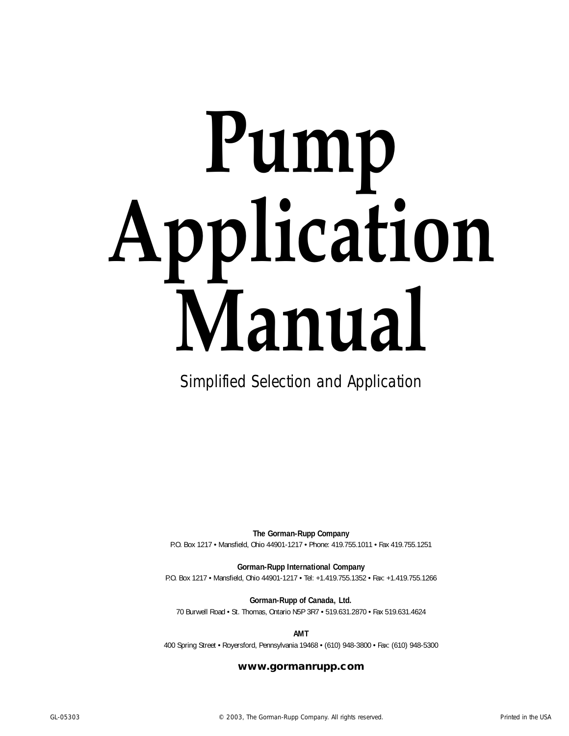# **Pump Application Manual**

Simplified Selection and Application

**The Gorman-Rupp Company** P.O. Box 1217 • Mansfield, Ohio 44901-1217 • Phone: 419.755.1011 • Fax 419.755.1251

**Gorman-Rupp International Company**

P.O. Box 1217 • Mansfield, Ohio 44901-1217 • Tel: +1.419.755.1352 • Fax: +1.419.755.1266

**Gorman-Rupp of Canada, Ltd.**

70 Burwell Road • St. Thomas, Ontario N5P 3R7 • 519.631.2870 • Fax 519.631.4624

**AMT**

400 Spring Street • Royersford, Pennsylvania 19468 • (610) 948-3800 • Fax: (610) 948-5300

#### **www.gormanrupp.com**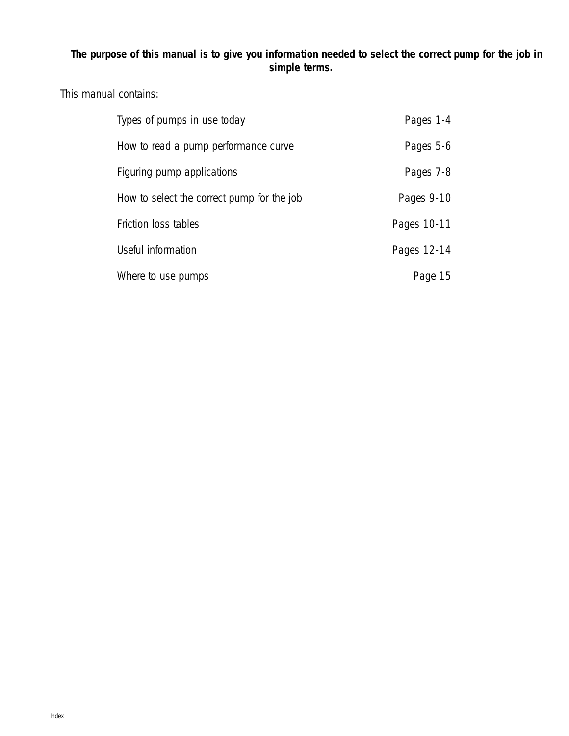### **The purpose of this manual is to give you information needed to select the correct pump for the job in simple terms.**

### This manual contains:

| Types of pumps in use today                | Pages 1-4   |
|--------------------------------------------|-------------|
| How to read a pump performance curve       | Pages 5-6   |
| Figuring pump applications                 | Pages 7-8   |
| How to select the correct pump for the job | Pages 9-10  |
| Friction loss tables                       | Pages 10-11 |
| Useful information                         | Pages 12-14 |
| Where to use pumps                         | Page 15     |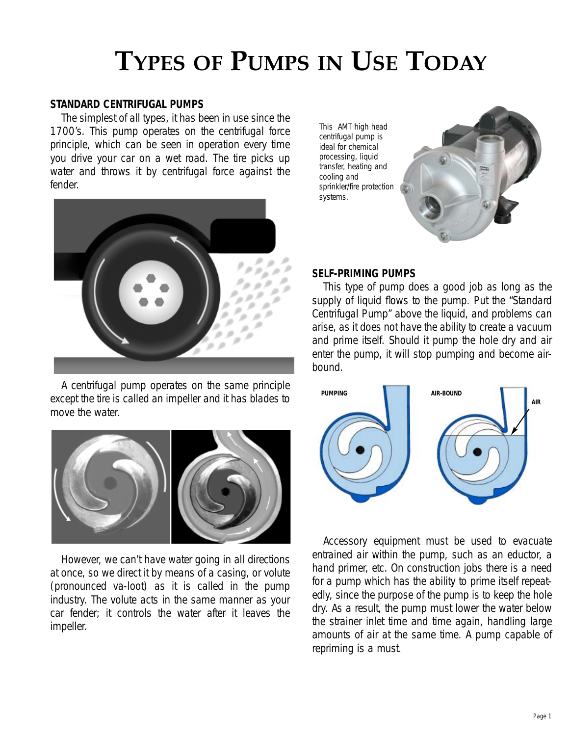#### **STANDARD CENTRIFUGAL PUMPS**

The simplest of all types, it has been in use since the 1700's. This pump operates on the centrifugal force principle, which can be seen in operation every time you drive your car on a wet road. The tire picks up water and throws it by centrifugal force against the fender.



A centrifugal pump operates on the same principle except the tire is called an impeller and it has blades to move the water.



However, we can't have water going in all directions at once, so we direct it by means of a casing, or volute (pronounced va-loot) as it is called in the pump industry. The volute acts in the same manner as your car fender; it controls the water after it leaves the impeller.

This AMT high head centrifugal pump is ideal for chemical processing, liquid transfer, heating and cooling and sprinkler/fire protection systems.



#### **SELF-PRIMING PUMPS**

This type of pump does a good job as long as the supply of liquid flows to the pump. Put the "Standard Centrifugal Pump" above the liquid, and problems can arise, as it does not have the ability to create a vacuum and prime itself. Should it pump the hole dry and air enter the pump, it will stop pumping and become airbound.



Accessory equipment must be used to evacuate entrained air within the pump, such as an eductor, a hand primer, etc. On construction jobs there is a need for a pump which has the ability to prime itself repeatedly, since the purpose of the pump is to keep the hole dry. As a result, the pump must lower the water below the strainer inlet time and time again, handling large amounts of air at the same time. A pump capable of repriming is a must.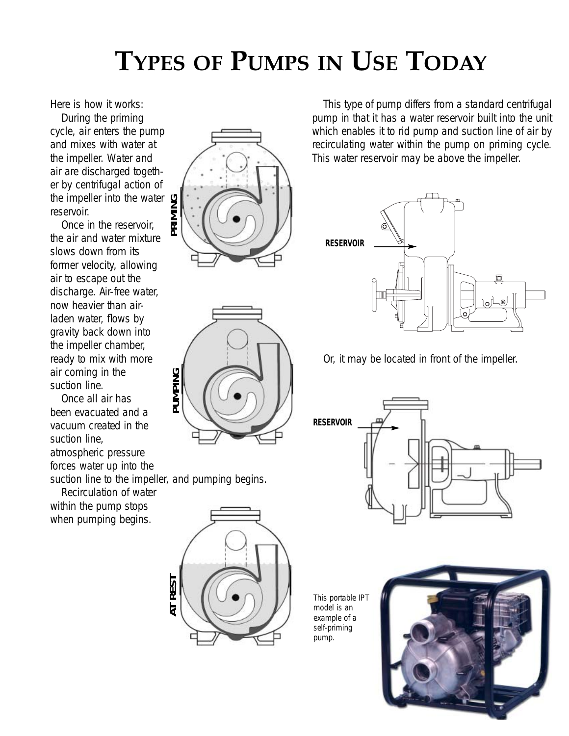Here is how it works:

During the priming cycle, air enters the pump and mixes with water at the impeller. Water and air are discharged together by centrifugal action of the impeller into the water reservoir.

Once in the reservoir, the air and water mixture slows down from its former velocity, allowing air to escape out the discharge. Air-free water, now heavier than airladen water, flows by gravity back down into the impeller chamber, ready to mix with more air coming in the suction line.

Once all air has been evacuated and a vacuum created in the suction line, atmospheric pressure forces water up into the

suction line to the impeller, and pumping begins.

**JMPING** 

Recirculation of water within the pump stops when pumping begins.



This type of pump differs from a standard centrifugal pump in that it has a water reservoir built into the unit which enables it to rid pump and suction line of air by recirculating water within the pump on priming cycle. This water reservoir may be above the impeller.



Or, it may be located in front of the impeller.



This portable IPT model is an example of a self-priming pump.



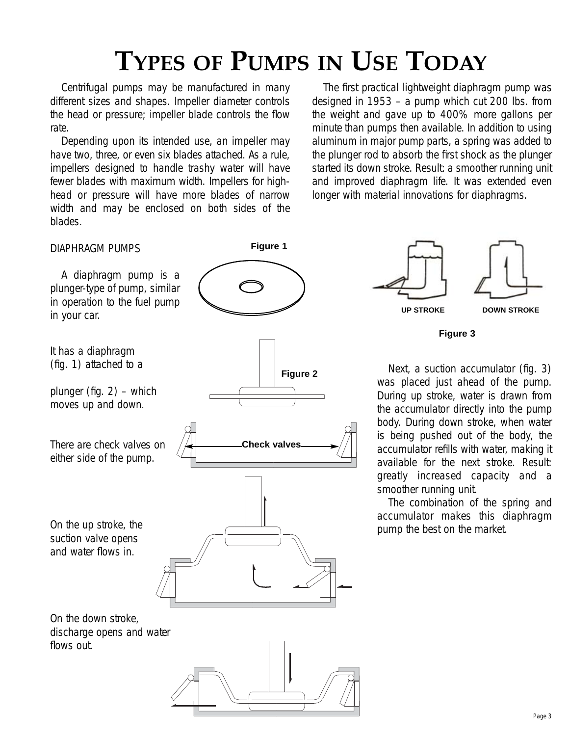Centrifugal pumps may be manufactured in many different sizes and shapes. Impeller diameter controls the head or pressure; impeller blade controls the flow rate.

Depending upon its intended use, an impeller may have two, three, or even six blades attached. As a rule, impellers designed to handle trashy water will have fewer blades with maximum width. Impellers for highhead or pressure will have more blades of narrow width and may be enclosed on both sides of the blades.

The first practical lightweight diaphragm pump was designed in 1953 – a pump which cut 200 lbs. from the weight and gave up to 400% more gallons per minute than pumps then available. In addition to using aluminum in major pump parts, a spring was added to the plunger rod to absorb the first shock as the plunger started its down stroke. Result: a smoother running unit and improved diaphragm life. It was extended even longer with material innovations for diaphragms.

#### DIAPHRAGM PUMPS

A diaphragm pump is a plunger-type of pump, similar in operation to the fuel pump in your car.

It has a diaphragm (fig. 1) attached to a

plunger (fig. 2) – which moves up and down.

There are check valves on either side of the pump.

On the up stroke, the suction valve opens and water flows in.

**Figure 2 Check valves**

**Figure 1**

**UP STROKE DOWN STROKE**

**Figure 3**

Next, a suction accumulator (fig. 3) was placed just ahead of the pump. During up stroke, water is drawn from the accumulator directly into the pump body. During down stroke, when water is being pushed out of the body, the accumulator refills with water, making it available for the next stroke. Result: greatly increased capacity and a smoother running unit.

The combination of the spring and accumulator makes this diaphragm pump the best on the market.

On the down stroke, discharge opens and water flows out.

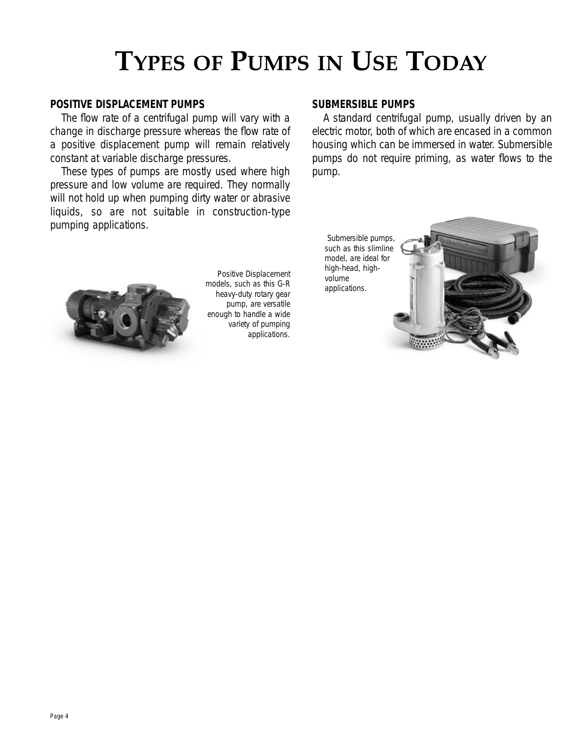#### **POSITIVE DISPLACEMENT PUMPS**

The flow rate of a centrifugal pump will vary with a change in discharge pressure whereas the flow rate of a positive displacement pump will remain relatively constant at variable discharge pressures.

These types of pumps are mostly used where high pressure and low volume are required. They normally will not hold up when pumping dirty water or abrasive liquids, so are not suitable in construction-type pumping applications.

#### **SUBMERSIBLE PUMPS**

A standard centrifugal pump, usually driven by an electric motor, both of which are encased in a common housing which can be immersed in water. Submersible pumps do not require priming, as water flows to the pump.

Submersible pumps, such as this slimline model, are ideal for high-head, highvolume applications.





Positive Displacement models, such as this G-R heavy-duty rotary gear pump, are versatile enough to handle a wide variety of pumping applications.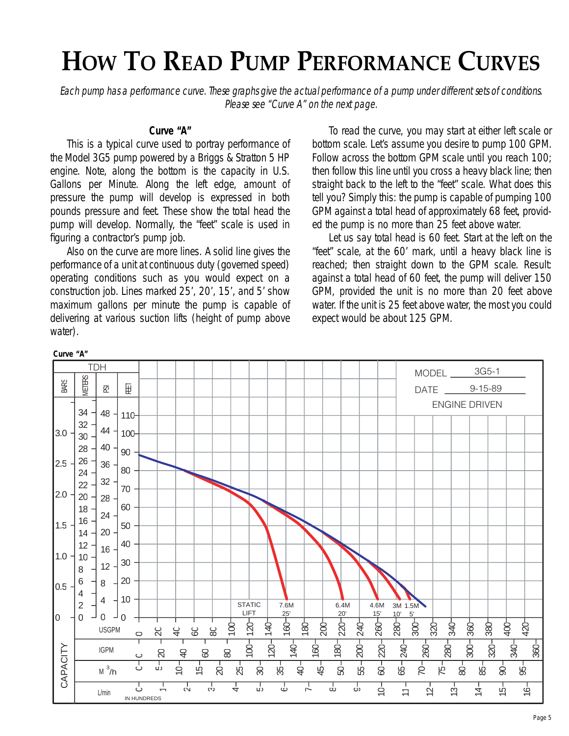# **HOW TO READ PUMP PERFORMANCE CURVES**

Each pump has a performance curve. These graphs give the actual performance of a pump under different sets of conditions. Please see "Curve A" on the next page.

#### **Curve "A"**

This is a typical curve used to portray performance of the Model 3G5 pump powered by a Briggs & Stratton 5 HP engine. Note, along the bottom is the capacity in U.S. Gallons per Minute. Along the left edge, amount of pressure the pump will develop is expressed in both pounds pressure and feet. These show the total head the pump will develop. Normally, the "feet" scale is used in figuring a contractor's pump job.

Also on the curve are more lines. A solid line gives the performance of a unit at continuous duty (governed speed) operating conditions such as you would expect on a construction job. Lines marked 25', 20', 15', and 5' show maximum gallons per minute the pump is capable of delivering at various suction lifts (height of pump above water).

To read the curve, you may start at either left scale or bottom scale. Let's assume you desire to pump 100 GPM. Follow across the bottom GPM scale until you reach 100; then follow this line until you cross a heavy black line; then straight back to the left to the "feet" scale. What does this tell you? Simply this: the pump is capable of pumping 100 GPM against a total head of approximately 68 feet, provided the pump is no more than 25 feet above water.

Let us say total head is 60 feet. Start at the left on the "feet" scale, at the 60' mark, until a heavy black line is reached; then straight down to the GPM scale. Result: against a total head of 60 feet, the pump will deliver 150 GPM, provided the unit is no more than 20 feet above water. If the unit is 25 feet above water, the most you could expect would be about 125 GPM.



**Curve "A"**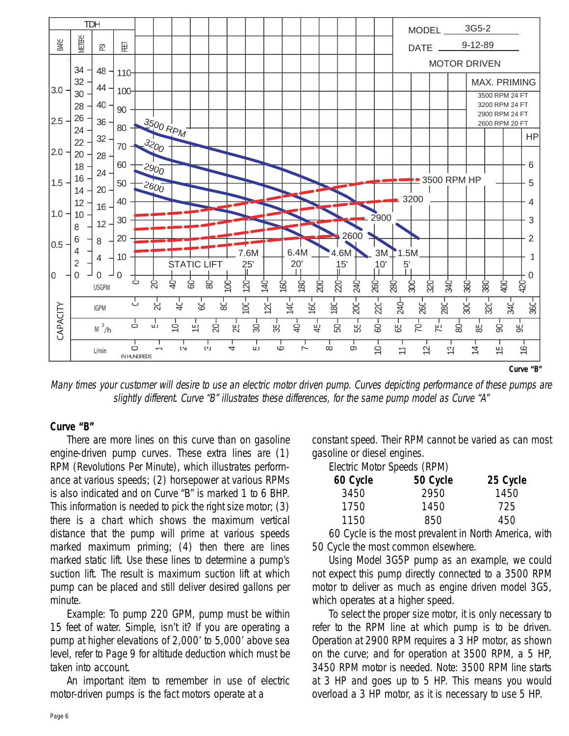

Many times your customer will desire to use an electric motor driven pump. Curves depicting performance of these pumps are slightly different. Curve "B" illustrates these differences, for the same pump model as Curve "A"

#### **Curve "B"**

There are more lines on this curve than on gasoline engine-driven pump curves. These extra lines are (1) RPM (Revolutions Per Minute), which illustrates performance at various speeds; (2) horsepower at various RPMs is also indicated and on Curve "B" is marked 1 to 6 BHP. This information is needed to pick the right size motor; (3) there is a chart which shows the maximum vertical distance that the pump will prime at various speeds marked maximum priming; (4) then there are lines marked static lift. Use these lines to determine a pump's suction lift. The result is maximum suction lift at which pump can be placed and still deliver desired gallons per minute.

Example: To pump 220 GPM, pump must be within 15 feet of water. Simple, isn't it? If you are operating a pump at higher elevations of 2,000' to 5,000' above sea level, refer to Page 9 for altitude deduction which must be taken into account.

An important item to remember in use of electric motor-driven pumps is the fact motors operate at a

constant speed. Their RPM cannot be varied as can most gasoline or diesel engines.

Electric Motor Speeds (RPM)

| 50 Cycle | 25 Cycle |
|----------|----------|
| 2950     | 1450     |
| 1450     | 725      |
| 850      | 450      |
|          |          |

60 Cycle is the most prevalent in North America, with 50 Cycle the most common elsewhere.

Using Model 3G5P pump as an example, we could not expect this pump directly connected to a 3500 RPM motor to deliver as much as engine driven model 3G5, which operates at a higher speed.

To select the proper size motor, it is only necessary to refer to the RPM line at which pump is to be driven. Operation at 2900 RPM requires a 3 HP motor, as shown on the curve; and for operation at 3500 RPM, a 5 HP, 3450 RPM motor is needed. Note: 3500 RPM line starts at 3 HP and goes up to 5 HP. This means you would overload a 3 HP motor, as it is necessary to use 5 HP.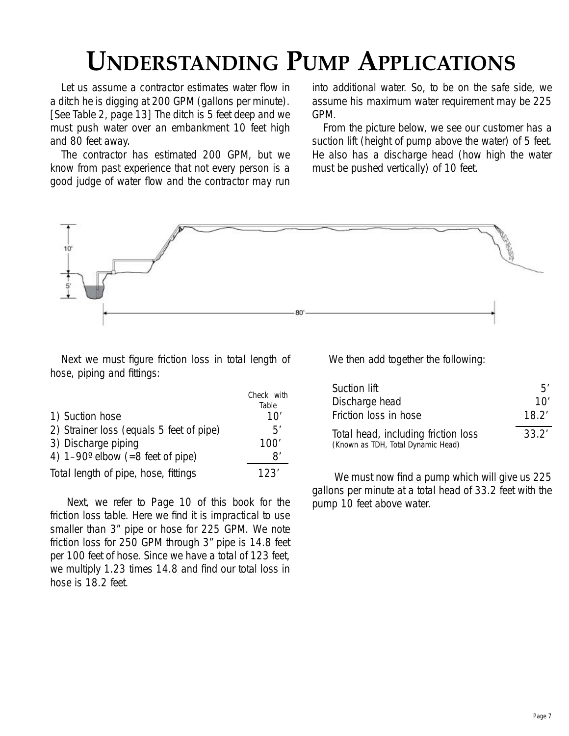# **UNDERSTANDING PUMP APPLICATIONS**

Let us assume a contractor estimates water flow in a ditch he is digging at 200 GPM (gallons per minute). [See Table 2, page 13] The ditch is 5 feet deep and we must push water over an embankment 10 feet high and 80 feet away.

The contractor has estimated 200 GPM, but we know from past experience that not every person is a good judge of water flow and the contractor may run

into additional water. So, to be on the safe side, we assume his maximum water requirement may be 225 GPM.

From the picture below, we see our customer has a suction lift (height of pump above the water) of 5 feet. He also has a discharge head (how high the water must be pushed vertically) of 10 feet.



 $\sim$   $\sim$  with

Next we must figure friction loss in total length of hose, piping and fittings:

| Table |
|-------|
|       |
| 10'   |
| 5'    |
| 100'  |
| 8′    |
| 123'  |
|       |

Next, we refer to Page 10 of this book for the friction loss table. Here we find it is impractical to use smaller than 3" pipe or hose for 225 GPM. We note friction loss for 250 GPM through 3" pipe is 14.8 feet per 100 feet of hose. Since we have a total of 123 feet, we multiply 1.23 times 14.8 and find our total loss in hose is 18.2 feet.

We then add together the following:

| Suction lift                                                              | Б'    |
|---------------------------------------------------------------------------|-------|
| Discharge head                                                            | 10'   |
| Friction loss in hose                                                     | 18.2' |
| Total head, including friction loss<br>(Known as TDH, Total Dynamic Head) | 33.2' |

We must now find a pump which will give us 225 gallons per minute at a total head of 33.2 feet with the pump 10 feet above water.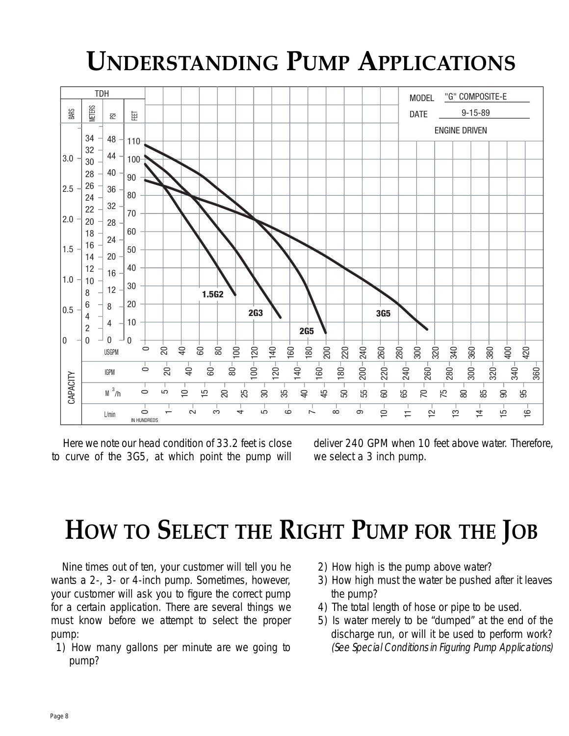# **UNDERSTANDING PUMP APPLICATIONS**



Here we note our head condition of 33.2 feet is close to curve of the 3G5, at which point the pump will deliver 240 GPM when 10 feet above water. Therefore, we select a 3 inch pump.

# **HOW TO SELECT THE RIGHT PUMP FOR THE JOB**

Nine times out of ten, your customer will tell you he wants a 2-, 3- or 4-inch pump. Sometimes, however, your customer will ask you to figure the correct pump for a certain application. There are several things we must know before we attempt to select the proper pump:

- 1) How many gallons per minute are we going to pump?
- 2) How high is the pump above water?
- 3) How high must the water be pushed after it leaves the pump?
- 4) The total length of hose or pipe to be used.
- 5) Is water merely to be "dumped" at the end of the discharge run, or will it be used to perform work? (See Special Conditions in Figuring Pump Applications)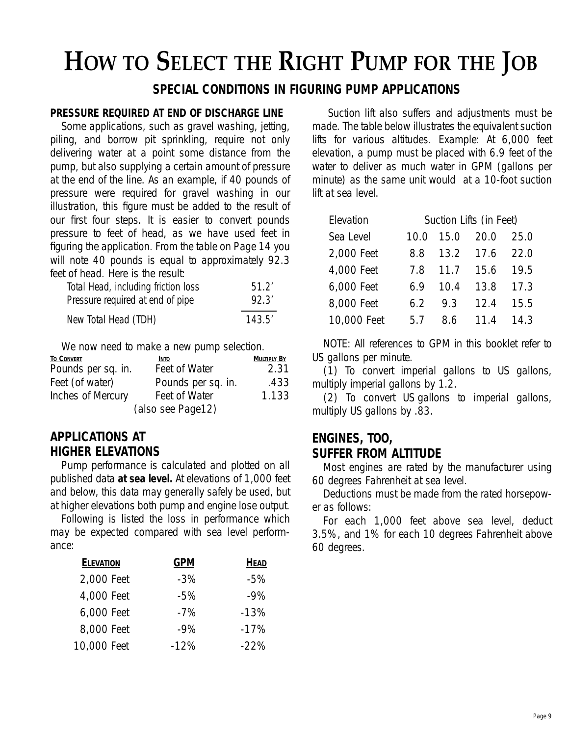# **HOW TO SELECT THE RIGHT PUMP FOR THE JOB**

### **SPECIAL CONDITIONS IN FIGURING PUMP APPLICATIONS**

#### **PRESSURE REQUIRED AT END OF DISCHARGE LINE**

Some applications, such as gravel washing, jetting, piling, and borrow pit sprinkling, require not only delivering water at a point some distance from the pump, but also supplying a certain amount of pressure at the end of the line. As an example, if 40 pounds of pressure were required for gravel washing in our illustration, this figure must be added to the result of our first four steps. It is easier to convert pounds pressure to feet of head, as we have used feet in figuring the application. From the table on Page 14 you will note 40 pounds is equal to approximately 92.3 feet of head. Here is the result:

| Total Head, including friction loss | 51.2'  |
|-------------------------------------|--------|
| Pressure required at end of pipe    | 92.3'  |
| New Total Head (TDH)                | 143.5' |

We now need to make a new pump selection.

| <b>TO CONVERT</b>  | <b>INTO</b>        | <b>MULTIPLY BY</b> |
|--------------------|--------------------|--------------------|
| Pounds per sq. in. | Feet of Water      | 2.31               |
| Feet (of water)    | Pounds per sq. in. | .433               |
| Inches of Mercury  | Feet of Water      | 1.133              |
|                    | (also see Page12)  |                    |

#### **APPLICATIONS AT HIGHER ELEVATIONS**

Pump performance is calculated and plotted on all published data **at sea level.** At elevations of 1,000 feet and below, this data may generally safely be used, but at higher elevations both pump and engine lose output.

Following is listed the loss in performance which may be expected compared with sea level performance:

| <b>ELEVATION</b> | GPM    | <b>HEAD</b> |
|------------------|--------|-------------|
| 2,000 Feet       | $-3\%$ | -5%         |
| 4,000 Feet       | $-5\%$ | $-9%$       |
| 6,000 Feet       | $-7%$  | $-13%$      |
| 8,000 Feet       | $-9%$  | $-17%$      |
| 10,000 Feet      | $-12%$ | $-22%$      |

Suction lift also suffers and adjustments must be made. The table below illustrates the equivalent suction lifts for various altitudes. Example: At 6,000 feet elevation, a pump must be placed with 6.9 feet of the water to deliver as much water in GPM (gallons per minute) as the same unit would at a 10-foot suction lift at sea level.

| Elevation   | Suction Lifts (in Feet) |               |           |      |  |  |  |  |  |
|-------------|-------------------------|---------------|-----------|------|--|--|--|--|--|
| Sea Level   |                         | 10.0 15.0     | 20.0      | 25.0 |  |  |  |  |  |
| 2,000 Feet  | 8.8                     | 13.2 17.6     |           | 22.0 |  |  |  |  |  |
| 4,000 Feet  |                         | 7.8 11.7 15.6 |           | 19.5 |  |  |  |  |  |
| 6,000 Feet  | 6.9                     | 10.4          | 13.8      | 17.3 |  |  |  |  |  |
| 8,000 Feet  | 6.2                     | 9.3           | 12.4      | 15.5 |  |  |  |  |  |
| 10,000 Feet | 5.7                     | 8.6           | 11.4 14.3 |      |  |  |  |  |  |

NOTE: All references to GPM in this booklet refer to US gallons per minute.

(1) To convert imperial gallons to US gallons, multiply imperial gallons by 1.2.

(2) To convert US gallons to imperial gallons, multiply US gallons by .83.

### **ENGINES, TOO, SUFFER FROM ALTITUDE**

Most engines are rated by the manufacturer using 60 degrees Fahrenheit at sea level.

Deductions must be made from the rated horsepower as follows:

For each 1,000 feet above sea level, deduct 3.5%, and 1% for each 10 degrees Fahrenheit above 60 degrees.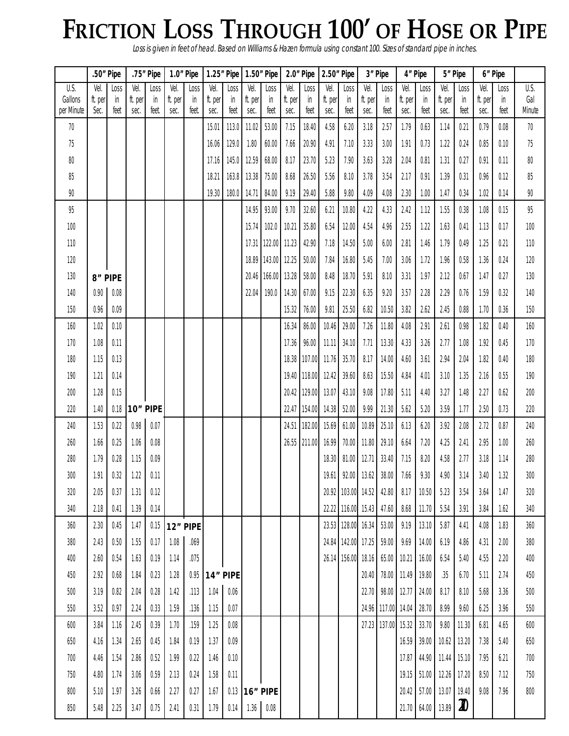# **FRICTION LOSS THROUGH 100' OF HOSE OR PIPE**

Loss is given in feet of head. Based on Williams & Hazen formula using constant 100. Sizes of standard pipe in inches.

|                       |                 | .50" Pipe |          | .75" Pipe |         | 1.0" Pipe |         | 1.25" Pipe     |               | 1.50" Pipe    |              | 2.0" Pipe      |              | 2.50" Pipe         |              | 3" Pipe                 |              | 4" Pipe      |              | 5" Pipe             |              | 6" Pipe    |               |
|-----------------------|-----------------|-----------|----------|-----------|---------|-----------|---------|----------------|---------------|---------------|--------------|----------------|--------------|--------------------|--------------|-------------------------|--------------|--------------|--------------|---------------------|--------------|------------|---------------|
| U.S.                  | Vel.            | Loss      | Vel.     | Loss      | Vel.    | Loss      | Vel.    | Loss           | Vel.          | Loss          | Vel.         | Loss           | Vel.         | Loss               | Vel.         | Loss                    | Vel.         | Loss         | Vel.         | Loss                | Vel.         | Loss       | U.S.          |
| Gallons<br>per Minute | ft. per<br>Sec. | in        | ft. per  | in        | ft. per | in        | ft. per | in             | ft. per       | in            | ft. per      | in             | ft. per      | in                 | ft. per      | in                      | ft. per      | in           | ft. per      | in                  | ft. per      | in<br>feet | Gal<br>Minute |
| 70                    |                 | teet      | sec.     | feet      | sec.    | teet.     | sec.    | feet           | sec.<br>11.02 | teet<br>53.00 | sec.<br>7.15 | teet           | sec.<br>4.58 | teet<br>6.20       | sec.         | feet<br>2.57            | sec.<br>1.79 | feet<br>0.63 | sec.<br>1.14 | feet<br>0.21        | sec.<br>0.79 | 0.08       | 70            |
| 75                    |                 |           |          |           |         |           | 15.01   | 113.0<br>129.0 | 1.80          |               | 7.66         | 18.40          | 4.91         | 7.10               | 3.18<br>3.33 | 3.00                    | 1.91         | 0.73         | 1.22         | 0.24                | 0.85         | 0.10       | 75            |
|                       |                 |           |          |           |         |           | 16.06   |                |               | 60.00         |              | 20.90          |              |                    |              |                         |              |              |              |                     |              |            |               |
| 80                    |                 |           |          |           |         |           | 17.16   | 145.0          | 12.59         | 68.00         | 8.17         | 23.70          | 5.23         | 7.90               | 3.63         | 3.28                    | 2.04         | 0.81         | 1.31         | 0.27                | 0.91         | 0.11       | 80            |
| 85                    |                 |           |          |           |         |           | 18.21   | 163.8          | 13.38         | 75.00         | 8.68         | 26.50          | 5.56         | 8.10               | 3.78         | 3.54                    | 2.17         | 0.91         | 1.39         | 0.31                | 0.96         | 0.12       | 85            |
| 90                    |                 |           |          |           |         |           | 19.30   | 180.0          | 14.71         | 84.00         | 9.19         | 29.40          | 5.88         | 9.80               | 4.09         | 4.08                    | 2.30         | 1.00         | 1.47         | 0.34                | 1.02         | 0.14       | 90            |
| 95                    |                 |           |          |           |         |           |         |                | 14.95         | 93.00         | 9.70         | 32.60          | 6.21         | 10.80              | 4.22         | 4.33                    | 2.42         | 1.12         | 1.55         | 0.38                | 1.08         | 0.15       | 95            |
| 100                   |                 |           |          |           |         |           |         |                | 15.74         | 102.0         | 10.21        | 35.80          | 6.54         | 12.00              | 4.54         | 4.96                    | 2.55         | 1.22         | 1.63         | 0.41                | 1.13         | 0.17       | 100           |
| 110                   |                 |           |          |           |         |           |         |                | 17.31         | 122.00 11.23  |              | 42.90          | 7.18         | 14.50              | 5.00         | 6.00                    | 2.81         | 1.46         | 1.79         | 0.49                | 1.25         | 0.21       | 110           |
| 120                   |                 |           |          |           |         |           |         |                | 18.89         | 143.00 12.25  |              | 50.00          | 7.84         | 16.80              | 5.45         | 7.00                    | 3.06         | 1.72         | 1.96         | 0.58                | 1.36         | 0.24       | 120           |
| 130                   |                 | 8" PIPE   |          |           |         |           |         |                | 20.46         | 166.00        | 13.28        | 58.00          | 8.48         | 18.70              | 5.91         | 8.10                    | 3.31         | 1.97         | 2.12         | 0.67                | 1.47         | 0.27       | 130           |
| 140                   | 0.90            | 0.08      |          |           |         |           |         |                | 22.04         | 190.0         | 14.30        | 67.00          | 9.15         | 22.30              | 6.35         | 9.20                    | 3.57         | 2.28         | 2.29         | 0.76                | 1.59         | 0.32       | 140           |
| 150                   | 0.96            | 0.09      |          |           |         |           |         |                |               |               | 15.32        | 76.00          | 9.81         | 25.50              | 6.82         | 10.50                   | 3.82         | 2.62         | 2.45         | 0.88                | 1.70         | 0.36       | 150           |
| 160                   | 1.02            | 0.10      |          |           |         |           |         |                |               |               | 16.34        | 86.00          | 10.46        | 29.00              | 7.26         | 11.80                   | 4.08         | 2.91         | 2.61         | 0.98                | 1.82         | 0.40       | 160           |
| 170                   | 1.08            | 0.11      |          |           |         |           |         |                |               |               | 17.36        | 96.00          | 11.11        | 34.10              | 7.71         | 13.30                   | 4.33         | 3.26         | 2.77         | 1.08                | 1.92         | 0.45       | 170           |
| 180                   | 1.15            | 0.13      |          |           |         |           |         |                |               |               | 18.38        |                | 107.00 11.76 | 35.70              | 8.17         | 14.00                   | 4.60         | 3.61         | 2.94         | 2.04                | 1.82         | 0.40       | 180           |
| 190                   | 1.21            | 0.14      |          |           |         |           |         |                |               |               |              | 19.40   118.00 | 12.42        | 39.60              | 8.63         | 15.50                   | 4.84         | 4.01         | 3.10         | 1.35                | 2.16         | 0.55       | 190           |
| 200                   | 1.28            | 0.15      |          |           |         |           |         |                |               |               |              | 20.42   129.00 | 13.07        | 43.10              | 9.08         | 17.80                   | 5.11         | 4.40         | 3.27         | 1.48                | 2.27         | 0.62       | 200           |
| 220                   | 1.40            | 0.18      | 10" PIPE |           |         |           |         |                |               |               |              | 22.47   154.00 | 14.38        | 52.00              | 9.99         | 21.30                   | 5.62         | 5.20         | 3.59         | 1.77                | 2.50         | 0.73       | 220           |
| 240                   | 1.53            | 0.22      | 0.98     | 0.07      |         |           |         |                |               |               | 24.51        | 182.00         | 15.69        | 61.00              | 10.89        | 25.10                   | 6.13         | 6.20         | 3.92         | 2.08                | 2.72         | 0.87       | 240           |
| 260                   | 1.66            | 0.25      | 1.06     | 0.08      |         |           |         |                |               |               |              | 26.55 211.00   | 16.99        | 70.00              | 11.80        | 29.10                   | 6.64         | 7.20         | 4.25         | 2.41                | 2.95         | 1.00       | 260           |
| 280                   | 1.79            | 0.28      | 1.15     | 0.09      |         |           |         |                |               |               |              |                | 18.30        | 81.00              | 12.71        | 33.40                   | 7.15         | 8.20         | 4.58         | 2.77                | 3.18         | 1.14       | 280           |
| 300                   | 1.91            | 0.32      | 1.22     | 0.11      |         |           |         |                |               |               |              |                |              |                    |              | 19.61 92.00 13.62 38.00 | 7.66         | 9.30         | 4.90         | 3.14                | 3.40         | 1.32       | 300           |
| 320                   | 2.05            | 0.37      | 1.31     | 0.12      |         |           |         |                |               |               |              |                |              | 20.92 103.00 14.52 |              | 42.80                   | 8.17         | 10.50        | 5.23         | 3.54                | 3.64         | 1.47       | 320           |
| 340                   | 2.18            | 0.41      | 1.39     | 0.14      |         |           |         |                |               |               |              |                |              | 22.22 116.00 15.43 |              | 47.60                   | 8.68         | 11.70        | 5.54         | 3.91                | 3.84         | 1.62       | 340           |
| 360                   | 2.30            | 0.45      | 1.47     | 0.15      |         | 12" PIPE  |         |                |               |               |              |                |              | 23.53 128.00 16.34 |              | 53.00                   | 9.19         | 13.10        | 5.87         | 4.41                | 4.08         | 1.83       | 360           |
| 380                   | 2.43            | 0.50      | 1.55     | 0.17      | 1.08    | .069      |         |                |               |               |              |                |              | 24.84 142.00 17.25 |              | 59.00                   | 9.69         | 14.00        | 6.19         | 4.86                | 4.31         | 2.00       | 380           |
| 400                   | 2.60            | 0.54      | 1.63     | 0.19      | 1.14    | .075      |         |                |               |               |              |                |              | 26.14 156.00       |              | 18.16 65.00             | 10.21        | 16.00        | 6.54         | 5.40                | 4.55         | 2.20       | 400           |
| 450                   | 2.92            | 0.68      | 1.84     | 0.23      | 1.28    | 0.95      |         | 14" PIPE       |               |               |              |                |              |                    | 20.40        | 78.00                   | 11.49        | 19.80        | .35          | 6.70                | 5.11         | 2.74       | 450           |
| 500                   | 3.19            | 0.82      | 2.04     | 0.28      | 1.42    | .113      | 1.04    | 0.06           |               |               |              |                |              |                    | 22.70        | 98.00                   | 12.77        | 24.00        | 8.17         | 8.10                | 5.68         | 3.36       | 500           |
| 550                   | 3.52            | 0.97      | 2.24     | 0.33      | 1.59    | .136      | 1.15    | 0.07           |               |               |              |                |              |                    |              | 24.96 117.00 14.04      |              | 28.70        | 8.99         | 9.60                | 6.25         | 3.96       | 550           |
| 600                   | 3.84            | 1.16      | 2.45     | 0.39      | 1.70    | .159      | 1.25    | 0.08           |               |               |              |                |              |                    |              | 27.23 137.00            | 15.32        | 33.70        | 9.80         | 11.30               | 6.81         | 4.65       | 600           |
| 650                   | 4.16            | 1.34      | 2.65     | 0.45      | 1.84    | 0.19      | 1.37    | 0.09           |               |               |              |                |              |                    |              |                         | 16.59        | 39.00        | 10.62        | 13.20               | 7.38         | 5.40       | 650           |
| 700                   | 4.46            | 1.54      | 2.86     | 0.52      | 1.99    | 0.22      | 1.46    | 0.10           |               |               |              |                |              |                    |              |                         | 17.87        | 44.90        |              | 11.44 15.10         | 7.95         | 6.21       | 700           |
| 750                   | 4.80            | 1.74      | 3.06     | 0.59      | 2.13    | 0.24      | 1.58    | 0.11           |               |               |              |                |              |                    |              |                         | 19.15        | 51.00        | 12.26        | 17.20               | 8.50         | 7.12       | 750           |
| 800                   | 5.10            | 1.97      | 3.26     | 0.66      | 2.27    | 0.27      | 1.67    | 0.13           | $16"$ PIPE    |               |              |                |              |                    |              |                         |              | 20.42 57.00  |              | 13.07 19.40         | 9.08         | 7.96       | 800           |
|                       |                 |           |          |           |         |           |         |                |               |               |              |                |              |                    |              |                         |              |              | 13.89        | $\pmb{\mathcal{D}}$ |              |            |               |
| 850                   | 5.48            | 2.25      | 3.47     | 0.75      | 2.41    | 0.31      | 1.79    | 0.14           | 1.36          | 0.08          |              |                |              |                    |              |                         |              | 21.70 64.00  |              |                     |              |            |               |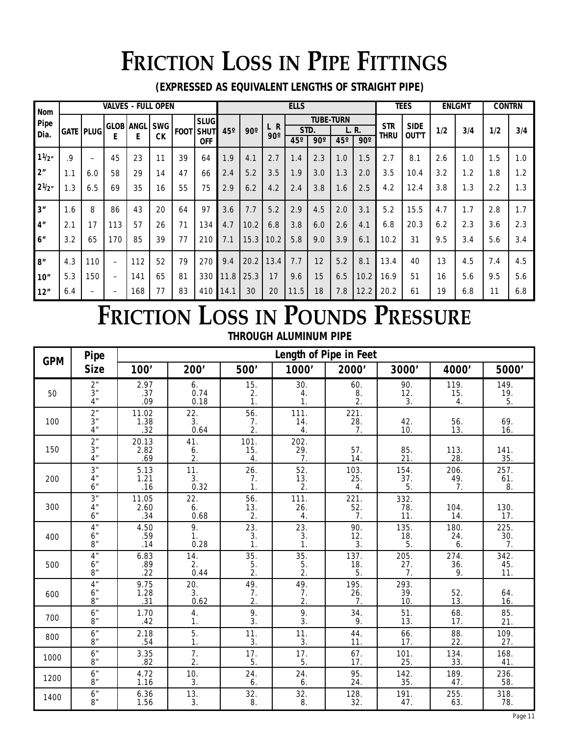# **FRICTION LOSS IN PIPE FITTINGS**

**(EXPRESSED AS EQUIVALENT LENGTHS OF STRAIGHT PIPE)**

| Nom             |     |                          | <b>VALVES - FULL OPEN</b> |           |            |             |             | <b>ELLS</b> |            |                    |      |                  |     | <b>TEES</b> |            | <b>ENLGMT</b> |     | <b>CONTRN</b> |     |     |
|-----------------|-----|--------------------------|---------------------------|-----------|------------|-------------|-------------|-------------|------------|--------------------|------|------------------|-----|-------------|------------|---------------|-----|---------------|-----|-----|
| Pipe            |     |                          |                           | GLOB ANGL | <b>SWG</b> |             | <b>SLUG</b> |             |            | $\mathsf{R}$<br>L. |      | <b>TUBE-TURN</b> |     |             | <b>STR</b> | <b>SIDE</b>   |     |               |     |     |
| Dia.            |     | <b>GATE   PLUG</b>       |                           |           |            | <b>FOOT</b> | SHUT        | $45^\circ$  | $90^\circ$ | $90^\circ$         | STD. |                  |     | L. R.       | thru       |               | 1/2 | 3/4           | 1/2 | 3/4 |
|                 |     |                          | F                         | E         | СK         |             | <b>OFF</b>  |             |            |                    | 45°  | $90^\circ$       | 45° | $90^\circ$  |            | <b>OUT'T</b>  |     |               |     |     |
| 11/2"           | .9  | $\overline{\phantom{0}}$ | 45                        | 23        | 11         | 39          | 64          | 1.9         | 4.1        | 2.7                | 1.4  | 2.3              | 1.0 | 1.5         | 2.7        | 8.1           | 2.6 | 1.0           | 1.5 | 1.0 |
| 2 <sup>n</sup>  | 1.1 | 6.0                      | 58                        | 29        | 14         | 47          | 66          | 2.4         | 5.2        | 3.5                | 1.9  | 3.0              | 1.3 | 2.0         | 3.5        | 10.4          | 3.2 | 1.2           | 1.8 | 1.2 |
| $2\frac{1}{2}$  | 1.3 | 6.5                      | 69                        | 35        | 16         | 55          | 75          | 2.9         | 6.2        | 4.2                | 2.4  | 3.8              | 1.6 | 2.5         | 4.2        | 12.4          | 3.8 | 1.3           | 2.2 | 1.3 |
| 3''             | 1.6 | 8                        | 86                        | 43        | 20         | 64          | 97          | 3.6         | 7.7        | 5.2                | 2.9  | 4.5              | 2.0 | 3.1         | 5.2        | 15.5          | 4.7 | 1.7           | 2.8 | 1.7 |
| 4 <sup>''</sup> | 2.1 | 17                       | 113                       | 57        | 26         | 71          | 134         | 4.7         | 10.2       | 6.8                | 3.8  | 6.0              | 2.6 | 4.1         | 6.8        | 20.3          | 6.2 | 2.3           | 3.6 | 2.3 |
| 6"              | 3.2 | 65                       | 170                       | 85        | 39         | 77          | 210         | 7.1         | 15.3       | 10.2               | 5.8  | 9.0              | 3.9 | 6.1         | 10.2       | 31            | 9.5 | 3.4           | 5.6 | 3.4 |
| 8''             | 4.3 | 110                      |                           | 112       | 52         | 79          | 270         | 9.4         | 20.2       | 13.4               | 7.7  | 12               | 5.2 | 8.1         | 13.4       | 40            | 13  | 4.5           | 7.4 | 4.5 |
| 10''            | 5.3 | 150                      | -                         | 141       | 65         | 81          | 330         | 11.8        | 25.3       | 17                 | 9.6  | 15               | 6.5 | 10.2        | 16.9       | 51            | 16  | 5.6           | 9.5 | 5.6 |
| 12"             | 6.4 |                          |                           | 168       | 77         | 83          | 410         | 14.1        | 30         | 20                 | 11.5 | 18               | 7.8 | 12.2        | 20.2       | 61            | 19  | 6.8           | 11  | 6.8 |

# **FRICTION LOSS IN POUNDS PRESSURE**

|  | THROUGH ALUMINUM PIPE |  |
|--|-----------------------|--|
|--|-----------------------|--|

| <b>GPM</b> | Pipe                                                |                             |                               |                               |                                 | Length of Pipe in Feet |                          |                          |                        |
|------------|-----------------------------------------------------|-----------------------------|-------------------------------|-------------------------------|---------------------------------|------------------------|--------------------------|--------------------------|------------------------|
|            | <b>Size</b>                                         | 100'                        | 200'                          | 500'                          | 1000'                           | 2000'                  | 3000'                    | 4000'                    | 5000                   |
| 50         | 2 <sup>n</sup><br>3 <sup>''</sup><br>4 <sup>n</sup> | 2.97<br>.37<br>.09          | 6.<br>0.74<br>0.18            | 15.<br>2.<br>1.               | 30.<br>4.<br>1.                 | 60.<br>$\frac{8}{2}$ . | 90.<br>$\frac{12}{3}$ .  | 119.<br>15.<br>4.        | 149.<br>$\frac{19}{5}$ |
| 100        | 2 <sup>n</sup><br>3 <sup>''</sup><br>4 <sup>n</sup> | 11.02<br>$\frac{1.38}{.32}$ | 22.<br>3.<br>0.64             | 56.<br>7.<br>2.               | 111.<br>$\frac{14}{4}$          | 221.<br>$^{28.}$<br>7. | 42.<br>10.               | 56.<br>13.               | 69.<br>16.             |
| 150        | 2 <sup>n</sup><br>3 <sup>''</sup><br>4 <sup>n</sup> | 20.13<br>2.82<br>.69        | 41.<br>6.<br>$\overline{2}$ . | 101.<br>15.<br>4.             | 202.<br>29.<br>$\overline{7}$ . | 57.<br>14.             | 85.<br>21.               | 113.<br>28.              | 141.<br>35.            |
| 200        | 3 <sup>''</sup><br>4 <sup>''</sup><br>6"            | 5.13<br>1.21<br>.16         | 11.<br>3.<br>0.32             | 26.<br>7.<br>1.               | 52.<br>13.<br>$\overline{2}$ .  | 103.<br>25.<br>4.      | 154.<br>37.<br>5.        | 206.<br>49.<br>7.        | 257.<br>61.<br>8.      |
| 300        | 3 <sup>n</sup><br>4"<br>6"                          | 11.05<br>2.60<br>.34        | 22.<br>6.<br>0.68             | 56.<br>13.<br>2.              | 111.<br>26.<br>4.               | 221.<br>$\frac{52}{7}$ | 332.<br>78.<br>11.       | 104.<br>14.              | 130.<br>17.            |
| 400        | 4 <sup>''</sup><br>6"<br>8"                         | 4.50<br>.59<br>.14          | 9.<br>1.<br>0.28              | 23.<br>3.<br>1.               | 23.<br>3.<br>$\mathbf{1}$ .     | 90.<br>12.<br>3.       | 135.<br>18.<br>5.        | 180.<br>24.<br>6.        | 225.<br>30.<br>7.      |
| 500        | 4 <sup>''</sup><br>6"<br>8"                         | 6.83<br>.89<br>.22          | 14.<br>2.<br>0.44             | 35.<br>5.<br>$\overline{2}$ . | 35.<br>$\frac{5}{2}$            | 137.<br>18.5           | 205.<br>$\frac{27}{7}$ . | 274.<br>$\frac{36}{9}$ . | 342.<br>45.<br>11.     |
| 600        | 4 <sup>''</sup><br>6"<br>8"                         | 9.75<br>1.28<br>31          | 20.<br>3.<br>0.62             | 49.<br>7.<br>2.               | 49.<br>$\frac{7}{2}$            | 195.<br>$^{26.}$<br>7. | 293.<br>39.<br>10.       | 52.<br>13.               | 64.<br>16.             |
| 700        | 6"<br>8"                                            | 1.70<br>.42                 | 4.<br>1.                      | 9.<br>3.                      | 9.<br>3.                        | 34.<br>9.              | 51.<br>13.               | 68.<br>17.               | 85.<br>21.             |
| 800        | 6"<br>8"                                            | 2.18<br>.54                 | 5.<br>1.                      | 11.<br>3.                     | 11.<br>3.                       | 44.<br>11.             | 66.<br>17.               | 88.<br>22.               | 109.<br>27.            |
| 1000       | 6"<br>8"                                            | 3.35<br>.82                 | $\overline{7}$ .<br>2.        | 17.<br>5.                     | 17.<br>5.                       | 67.<br>17.             | 101.<br>25.              | 134.<br>33.              | 168.<br>41.            |
| 1200       | 6"<br>8"                                            | 4.72<br>1.16                | 10.<br>3.                     | 24.<br>6.                     | 24.<br>6.                       | 95.<br>24.             | 142.<br>35.              | 189.<br>47.              | 236.<br>58.            |
| 1400       | 6"<br>8"                                            | 6.36<br>1.56                | 13.<br>3.                     | 32.<br>8.                     | 32.<br>8.                       | 128.<br>32.            | 191.<br>47.              | 255.<br>63.              | 318.<br>78.            |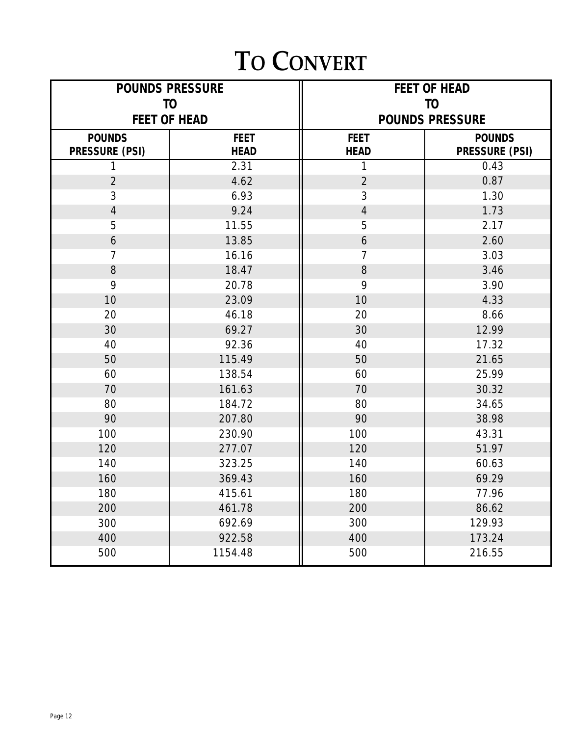### **TO CONVERT**

|                                 | <b>POUNDS PRESSURE</b><br>T <sub>O</sub> | <b>FEET OF HEAD</b><br>T <sub>O</sub> |                                 |  |  |
|---------------------------------|------------------------------------------|---------------------------------------|---------------------------------|--|--|
|                                 | <b>FEET OF HEAD</b>                      | <b>POUNDS PRESSURE</b>                |                                 |  |  |
| <b>POUNDS</b><br>PRESSURE (PSI) | <b>FEET</b><br><b>HEAD</b>               | <b>FEET</b><br><b>HEAD</b>            | <b>POUNDS</b><br>PRESSURE (PSI) |  |  |
|                                 | 2.31                                     | 1                                     | 0.43                            |  |  |
| $\overline{2}$                  | 4.62                                     | $\overline{2}$                        | 0.87                            |  |  |
| 3                               | 6.93                                     | 3                                     | 1.30                            |  |  |
| $\overline{4}$                  | 9.24                                     | $\overline{4}$                        | 1.73                            |  |  |
| 5                               | 11.55                                    | 5                                     | 2.17                            |  |  |
| 6                               | 13.85                                    | 6                                     | 2.60                            |  |  |
| 7                               | 16.16                                    | $\overline{7}$                        | 3.03                            |  |  |
| 8                               | 18.47                                    | 8                                     | 3.46                            |  |  |
| 9                               | 20.78                                    | 9                                     | 3.90                            |  |  |
| 10                              | 23.09                                    | 10                                    | 4.33                            |  |  |
| 20                              | 46.18                                    | 20                                    | 8.66                            |  |  |
| 30                              | 69.27                                    | 30                                    | 12.99                           |  |  |
| 40                              | 92.36                                    | 40                                    | 17.32                           |  |  |
| 50                              | 115.49                                   | 50                                    | 21.65                           |  |  |
| 60                              | 138.54                                   | 60                                    | 25.99                           |  |  |
| 70                              | 161.63                                   | 70                                    | 30.32                           |  |  |
| 80                              | 184.72                                   | 80                                    | 34.65                           |  |  |
| 90                              | 207.80                                   | 90                                    | 38.98                           |  |  |
| 100                             | 230.90                                   | 100                                   | 43.31                           |  |  |
| 120                             | 277.07                                   | 120                                   | 51.97                           |  |  |
| 140                             | 323.25                                   | 140                                   | 60.63                           |  |  |
| 160                             | 369.43                                   | 160                                   | 69.29                           |  |  |
| 180                             | 415.61                                   | 180                                   | 77.96                           |  |  |
| 200                             | 461.78                                   | 200                                   | 86.62                           |  |  |
| 300                             | 692.69                                   | 300                                   | 129.93                          |  |  |
| 400                             | 922.58                                   | 400                                   | 173.24                          |  |  |
| 500                             | 1154.48                                  | 500                                   | 216.55                          |  |  |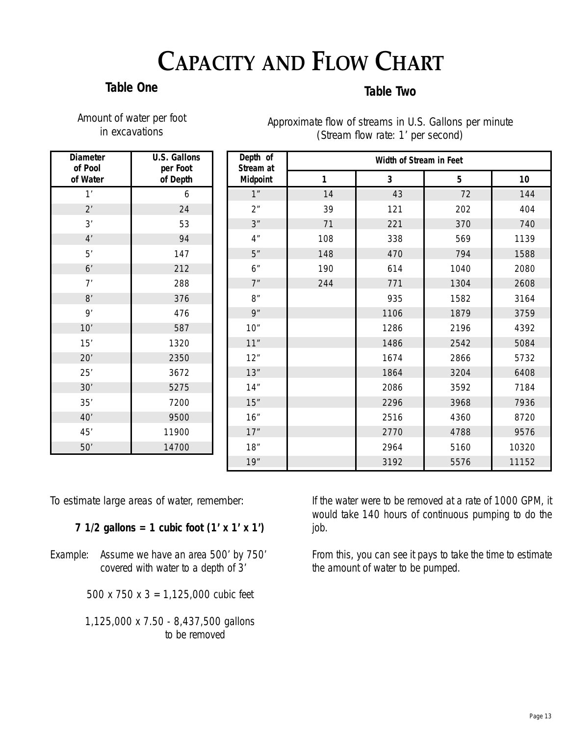## **CAPACITY AND FLOW CHART**

#### **Table One**

### **Table Two**

| Amount of water per foot |                |  |
|--------------------------|----------------|--|
|                          | in excavations |  |

Approximate flow of streams in U.S. Gallons per minute (Stream flow rate: 1' per second)

| <b>Diameter</b><br>of Pool | <b>U.S. Gallons</b><br>per Foot | Depth of<br>Stream at | Width of Stream in Feet |                |                 |       |  |  |
|----------------------------|---------------------------------|-----------------------|-------------------------|----------------|-----------------|-------|--|--|
| of Water                   | of Depth                        | Midpoint              | 1                       | $\overline{3}$ | $5\phantom{.0}$ | 10    |  |  |
| 1'                         | 6                               | 1"                    | 14                      | 43             | 72              | 144   |  |  |
| $2^r$                      | 24                              | 2 <sup>n</sup>        | 39                      | 121            | 202             | 404   |  |  |
| 3'                         | 53                              | 3"                    | 71                      | 221            | 370             | 740   |  |  |
| 4'                         | 94                              | 4 <sup>''</sup>       | 108                     | 338            | 569             | 1139  |  |  |
| 5'                         | 147                             | 5"                    | 148                     | 470            | 794             | 1588  |  |  |
| 6'                         | 212                             | 6"                    | 190                     | 614            | 1040            | 2080  |  |  |
| 7'                         | 288                             | 7"                    | 244                     | 771            | 1304            | 2608  |  |  |
| 8'                         | 376                             | 8"                    |                         | 935            | 1582            | 3164  |  |  |
| 9'                         | 476                             | 9"                    |                         | 1106           | 1879            | 3759  |  |  |
| 10'                        | 587                             | 10"                   |                         | 1286           | 2196            | 4392  |  |  |
| 15'                        | 1320                            | 11"                   |                         | 1486           | 2542            | 5084  |  |  |
| 20'                        | 2350                            | 12"                   |                         | 1674           | 2866            | 5732  |  |  |
| 25'                        | 3672                            | 13"                   |                         | 1864           | 3204            | 6408  |  |  |
| 30'                        | 5275                            | 14"                   |                         | 2086           | 3592            | 7184  |  |  |
| 35'                        | 7200                            | 15"                   |                         | 2296           | 3968            | 7936  |  |  |
| 40'                        | 9500                            | 16"                   |                         | 2516           | 4360            | 8720  |  |  |
| 45'                        | 11900                           | 17"                   |                         | 2770           | 4788            | 9576  |  |  |
| 50'                        | 14700                           | 18"                   |                         | 2964           | 5160            | 10320 |  |  |
|                            |                                 | 19"                   |                         | 3192           | 5576            | 11152 |  |  |

To estimate large areas of water, remember:

**7 1/2 gallons = 1 cubic foot (1' x 1' x 1')**

Example: Assume we have an area 500' by 750' covered with water to a depth of 3'

500 x 750 x 3 = 1,125,000 cubic feet

1,125,000 x 7.50 - 8,437,500 gallons to be removed

If the water were to be removed at a rate of 1000 GPM, it would take 140 hours of continuous pumping to do the job.

From this, you can see it pays to take the time to estimate the amount of water to be pumped.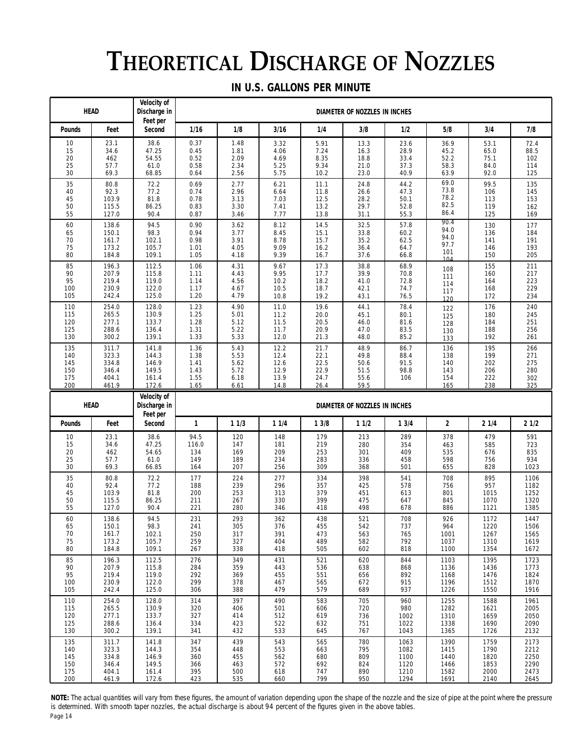# **THEORETICAL DISCHARGE OF NOZZLES**

#### **IN U.S. GALLONS PER MINUTE**

|                                        | <b>HEAD</b>                                        | Velocity of<br>Discharge in                        |                                              |                                              |                                              |                                              | DIAMETER OF NOZZLES IN INCHES                |                                      |                                            |                                        |                                        |
|----------------------------------------|----------------------------------------------------|----------------------------------------------------|----------------------------------------------|----------------------------------------------|----------------------------------------------|----------------------------------------------|----------------------------------------------|--------------------------------------|--------------------------------------------|----------------------------------------|----------------------------------------|
| Pounds                                 | Feet                                               | Feet per<br>Second                                 | 1/16                                         | 1/8                                          | 3/16                                         | 1/4                                          | 3/8                                          | 1/2                                  | 5/8                                        | 3/4                                    | 7/8                                    |
| 10                                     | 23.1                                               | 38.6                                               | 0.37                                         | 1.48                                         | 3.32                                         | 5.91                                         | 13.3                                         | 23.6                                 | 36.9                                       | 53.1                                   | 72.4                                   |
| 15                                     | 34.6                                               | 47.25                                              | 0.45                                         | 1.81                                         | 4.06                                         | 7.24                                         | 16.3                                         | 28.9                                 | 45.2                                       | 65.0                                   | 88.5                                   |
| 20                                     | 462                                                | 54.55                                              | 0.52                                         | 2.09                                         | 4.69                                         | 8.35                                         | 18.8                                         | 33.4                                 | 52.2                                       | 75.1                                   | 102                                    |
| 25                                     | 57.7                                               | 61.0                                               | 0.58                                         | 2.34                                         | 5.25                                         | 9.34                                         | 21.0                                         | 37.3                                 | 58.3                                       | 84.0                                   | 114                                    |
| 30                                     | 69.3                                               | 68.85                                              | 0.64                                         | 2.56                                         | 5.75                                         | 10.2                                         | 23.0                                         | 40.9                                 | 63.9                                       | 92.0                                   | 125                                    |
| 35                                     | 80.8                                               | 72.2                                               | 0.69                                         | 2.77                                         | 6.21                                         | 11.1                                         | 24.8                                         | 44.2                                 | 69.0                                       | 99.5                                   | 135                                    |
| 40                                     | 92.3                                               | 77.2                                               | 0.74                                         | 2.96                                         | 6.64                                         | 11.8                                         | 26.6                                         | 47.3                                 | 73.8                                       | 106                                    | 145                                    |
| 45                                     | 103.9                                              | 81.8                                               | 0.78                                         | 3.13                                         | 7.03                                         | 12.5                                         | 28.2                                         | 50.1                                 | 78.2                                       | 113                                    | 153                                    |
| 50                                     | 115.5                                              | 86.25                                              | 0.83                                         | 3.30                                         | 7.41                                         | 13.2                                         | 29.7                                         | 52.8                                 | 82.5                                       | 119                                    | 162                                    |
| 55                                     | 127.0                                              | 90.4                                               | 0.87                                         | 3.46                                         | 7.77                                         | 13.8                                         | 31.1                                         | 55.3                                 | 86.4                                       | 125                                    | 169                                    |
| 60<br>65<br>70<br>75<br>80             | 138.6<br>150.1<br>161.7<br>173.2<br>184.8          | 94.5<br>98.3<br>102.1<br>105.7<br>109.1            | 0.90<br>0.94<br>0.98<br>1.01<br>1.05         | 3.62<br>3.77<br>3.91<br>4.05<br>4.18         | 8.12<br>8.45<br>8.78<br>9.09<br>9.39         | 14.5<br>15.1<br>15.7<br>16.2<br>16.7         | 32.5<br>33.8<br>35.2<br>36.4<br>37.6         | 57.8<br>60.2<br>62.5<br>64.7<br>66.8 | 90.4<br>94.0<br>94.0<br>97.7<br>101<br>104 | 130<br>136<br>141<br>146<br>150        | 177<br>184<br>191<br>193<br>205        |
| 85                                     | 196.3                                              | 112.5                                              | 1.06                                         | 4.31                                         | 9.67                                         | 17.3                                         | 38.8                                         | 68.9                                 | 108                                        | 155                                    | 211                                    |
| 90                                     | 207.9                                              | 115.8                                              | 1.11                                         | 4.43                                         | 9.95                                         | 17.7                                         | 39.9                                         | 70.8                                 | 111                                        | 160                                    | 217                                    |
| 95                                     | 219.4                                              | 119.0                                              | 1.14                                         | 4.56                                         | 10.2                                         | 18.2                                         | 41.0                                         | 72.8                                 | 114                                        | 164                                    | 223                                    |
| 100                                    | 230.9                                              | 122.0                                              | 1.17                                         | 4.67                                         | 10.5                                         | 18.7                                         | 42.1                                         | 74.7                                 | 117                                        | 168                                    | 229                                    |
| 105                                    | 242.4                                              | 125.0                                              | 1.20                                         | 4.79                                         | 10.8                                         | 19.2                                         | 43.1                                         | 76.5                                 | 120                                        | 172                                    | 234                                    |
| 110                                    | 254.0                                              | 128.0                                              | 1.23                                         | 4.90                                         | 11.0                                         | 19.6                                         | 44.1                                         | 78.4                                 | 122                                        | 176                                    | 240                                    |
| 115                                    | 265.5                                              | 130.9                                              | 1.25                                         | 5.01                                         | 11.2                                         | 20.0                                         | 45.1                                         | 80.1                                 | 125                                        | 180                                    | 245                                    |
| 120                                    | 277.1                                              | 133.7                                              | 1.28                                         | 5.12                                         | 11.5                                         | 20.5                                         | 46.0                                         | 81.6                                 | 128                                        | 184                                    | 251                                    |
| 125                                    | 288.6                                              | 136.4                                              | 1.31                                         | 5.22                                         | 11.7                                         | 20.9                                         | 47.0                                         | 83.5                                 | 130                                        | 188                                    | 256                                    |
| 130                                    | 300.2                                              | 139.1                                              | 1.33                                         | 5.33                                         | 12.0                                         | 21.3                                         | 48.0                                         | 85.2                                 | 133                                        | 192                                    | 261                                    |
| 135<br>140<br>145<br>150<br>175<br>200 | 311.7<br>323.3<br>334.8<br>346.4<br>404.1<br>461.9 | 141.8<br>144.3<br>146.9<br>149.5<br>161.4<br>172.6 | 1.36<br>1.38<br>1.41<br>1.43<br>1.55<br>1.65 | 5.43<br>5.53<br>5.62<br>5.72<br>6.18<br>6.61 | 12.2<br>12.4<br>12.6<br>12.9<br>13.9<br>14.8 | 21.7<br>22.1<br>22.5<br>22.9<br>24.7<br>26.4 | 48.9<br>49.8<br>50.6<br>51.5<br>55.6<br>59.5 | 86.7<br>88.4<br>91.5<br>98.8<br>106  | 136<br>138<br>140<br>143<br>154<br>165     | 195<br>199<br>202<br>206<br>222<br>238 | 266<br>271<br>275<br>280<br>302<br>325 |
|                                        |                                                    |                                                    | DIAMETER OF NOZZLES IN INCHES                |                                              |                                              |                                              |                                              |                                      |                                            |                                        |                                        |
|                                        | <b>HEAD</b>                                        | <b>Velocity of</b><br>Discharge in                 |                                              |                                              |                                              |                                              |                                              |                                      |                                            |                                        |                                        |
| Pounds                                 | Feet                                               | Feet per<br>Second                                 | 1                                            | 11/3                                         | 11/4                                         | 13/8                                         | 11/2                                         | 13/4                                 | $\overline{\mathbf{2}}$                    | 21/4                                   | 21/2                                   |
| 10                                     | 23.1                                               | 38.6                                               | 94.5                                         | 120                                          | 148                                          | 179                                          | 213                                          | 289                                  | 378                                        | 479                                    | 591                                    |
| 15                                     | 34.6                                               | 47.25                                              | 116.0                                        | 147                                          | 181                                          | 219                                          | 280                                          | 354                                  | 463                                        | 585                                    | 723                                    |
| 20                                     | 462                                                | 54.65                                              | 134                                          | 169                                          | 209                                          | 253                                          | 301                                          | 409                                  | 535                                        | 676                                    | 835                                    |
| 25                                     | 57.7                                               | 61.0                                               | 149                                          | 189                                          | 234                                          | 283                                          | 336                                          | 458                                  | 598                                        | 756                                    | 934                                    |
| 30                                     | 69.3                                               | 66.85                                              | 164                                          | 207                                          | 256                                          | 309                                          | 368                                          | 501                                  | 655                                        | 828                                    | 1023                                   |
| 35                                     | 80.8                                               | 72.2                                               | 177                                          | 224                                          | 277                                          | 334                                          | 398                                          | 541                                  | 708                                        | 895                                    | 1106                                   |
| 40                                     | 92.4                                               | 77.2                                               | 188                                          | 239                                          | 296                                          | 357                                          | 425                                          | 578                                  | 756                                        | 957                                    | 1182                                   |
| 45                                     | 103.9                                              | 81.8                                               | 200                                          | 253                                          | 313                                          | 379                                          | 451                                          | 613                                  | 801                                        | 1015                                   | 1252                                   |
| 50                                     | 115.5                                              | 86.25                                              | 211                                          | 267                                          | 330                                          | 399                                          | 475                                          | 647                                  | 845                                        | 1070                                   | 1320                                   |
| 55                                     | 127.0                                              | 90.4                                               | 221                                          | 280                                          | 346                                          | 418                                          | 498                                          | 678                                  | 886                                        | 1121                                   | 1385                                   |
| 60                                     | 138.6                                              | 94.5                                               | 231                                          | 293                                          | 362                                          | 438                                          | 521                                          | 708                                  | 926                                        | 1172                                   | 1447                                   |
| 65                                     | 150.1                                              | 98.3                                               | 241                                          | 305                                          | 376                                          | 455                                          | 542                                          | 737                                  | 964                                        | 1220                                   | 1506                                   |
| 70                                     | 161.7                                              | 102.1                                              | 250                                          | 317                                          | 391                                          | 473                                          | 563                                          | 765                                  | 1001                                       | 1267                                   | 1565                                   |
| 75                                     | 173.2                                              | 105.7                                              | 259                                          | 327                                          | 404                                          | 489                                          | 582                                          | 792                                  | 1037                                       | 1310                                   | 1619                                   |
| 80                                     | 184.8                                              | 109.1                                              | 267                                          | 338                                          | 418                                          | 505                                          | 602                                          | 818                                  | 1100                                       | 1354                                   | 1672                                   |
| 85                                     | 196.3                                              | 112.5                                              | 276                                          | 349                                          | 431                                          | 521                                          | 620                                          | 844                                  | 1103                                       | 1395                                   | 1723                                   |
| 90                                     | 207.9                                              | 115.8                                              | 284                                          | 359                                          | 443                                          | 536                                          | 638                                          | 868                                  | 1136                                       | 1436                                   | 1773                                   |
| 95                                     | 219.4                                              | 119.0                                              | 292                                          | 369                                          | 455                                          | 551                                          | 656                                          | 892                                  | 1168                                       | 1476                                   | 1824                                   |
| 100                                    | 230.9                                              | 122.0                                              | 299                                          | 378                                          | 467                                          | 565                                          | 672                                          | 915                                  | 1196                                       | 1512                                   | 1870                                   |
| 105                                    | 242.4                                              | 125.0                                              | 306                                          | 388                                          | 479                                          | 579                                          | 689                                          | 937                                  | 1226                                       | 1550                                   | 1916                                   |
| 110                                    | 254.0                                              | 128.0                                              | 314                                          | 397                                          | 490                                          | 583                                          | 705                                          | 960                                  | 1255                                       | 1588                                   | 1961                                   |
| 115                                    | 265.5                                              | 130.9                                              | 320                                          | 406                                          | 501                                          | 606                                          | 720                                          | 980                                  | 1282                                       | 1621                                   | 2005                                   |
| 120                                    | 277.1                                              | 133.7                                              | 327                                          | 414                                          | 512                                          | 619                                          | 736                                          | 1002                                 | 1310                                       | 1659                                   | 2050                                   |
| 125                                    | 288.6                                              | 136.4                                              | 334                                          | 423                                          | 522                                          | 632                                          | 751                                          | 1022                                 | 1338                                       | 1690                                   | 2090                                   |
| 130                                    | 300.2                                              | 139.1                                              | 341                                          | 432                                          | 533                                          | 645                                          | 767                                          | 1043                                 | 1365                                       | 1726                                   | 2132                                   |

NOTE: The actual quantities will vary from these figures, the amount of variation depending upon the shape of the nozzle and the size of pipe at the point where the pressure is determined. With smooth taper nozzles, the actual discharge is about 94 percent of the figures given in the above tables. Page 14